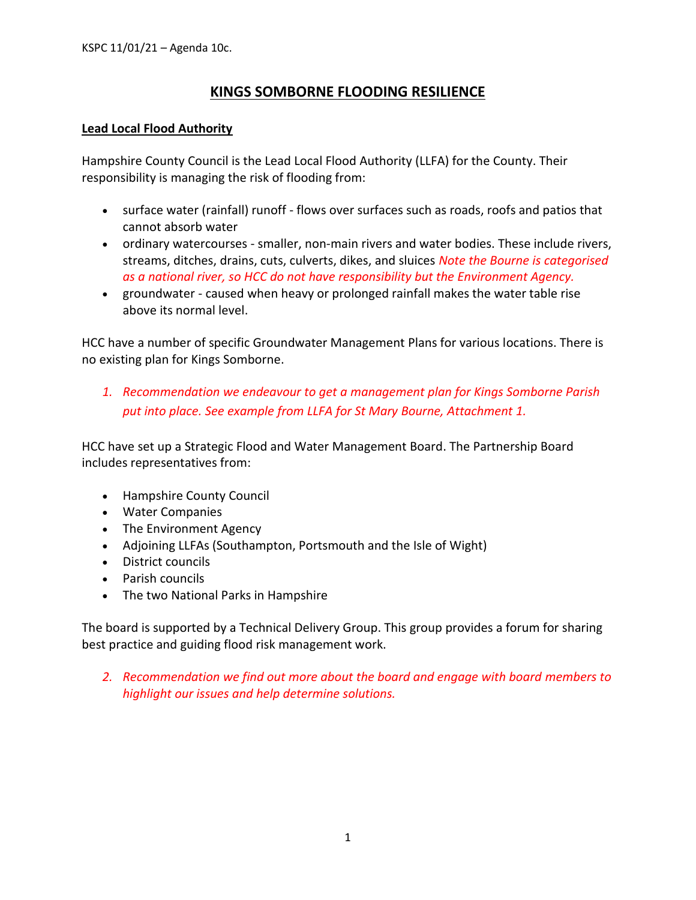## **KINGS SOMBORNE FLOODING RESILIENCE**

### **Lead Local Flood Authority**

Hampshire County Council is the Lead Local Flood Authority (LLFA) for the County. Their responsibility is managing the risk of flooding from:

- surface water (rainfall) runoff flows over surfaces such as roads, roofs and patios that cannot absorb water
- ordinary watercourses smaller, non-main rivers and water bodies. These include rivers, streams, ditches, drains, cuts, culverts, dikes, and sluices *Note the Bourne is categorised as a national river, so HCC do not have responsibility but the Environment Agency.*
- groundwater caused when heavy or prolonged rainfall makes the water table rise above its normal level.

HCC have a number of specific Groundwater Management Plans for various locations. There is no existing plan for Kings Somborne.

*1. Recommendation we endeavour to get a management plan for Kings Somborne Parish put into place. See example from LLFA for St Mary Bourne, Attachment 1.*

HCC have set up a Strategic Flood and Water Management Board. The Partnership Board includes representatives from:

- Hampshire County Council
- Water Companies
- The Environment Agency
- Adjoining LLFAs (Southampton, Portsmouth and the Isle of Wight)
- District councils
- Parish councils
- The two National Parks in Hampshire

The board is supported by a Technical Delivery Group. This group provides a forum for sharing best practice and guiding flood risk management work.

*2. Recommendation we find out more about the board and engage with board members to highlight our issues and help determine solutions.*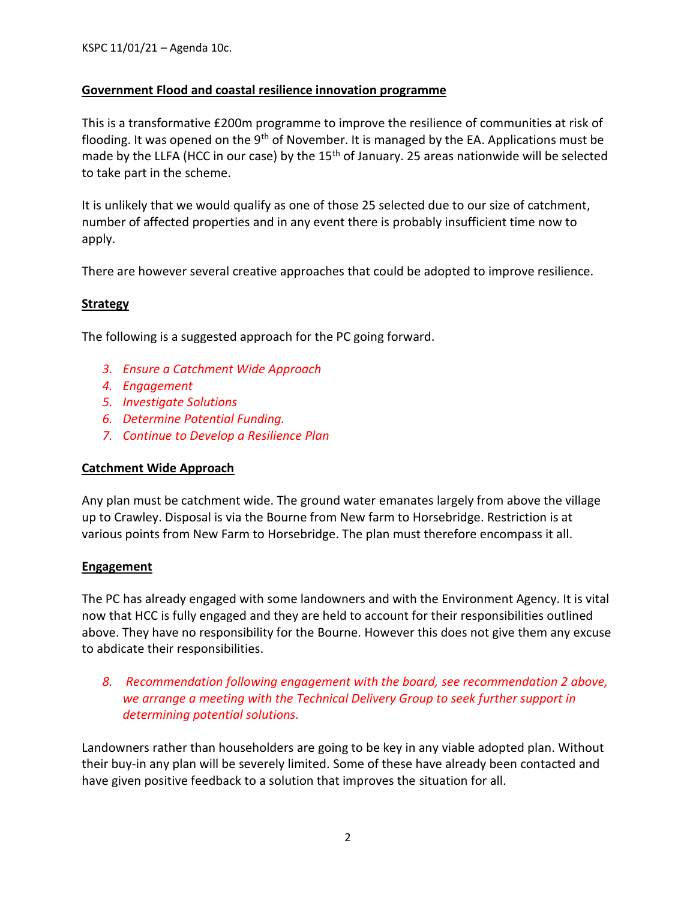## **Government Flood and coastal resilience innovation programme**

This is a transformative £200m programme to improve the resilience of communities at risk of flooding. It was opened on the 9<sup>th</sup> of November. It is managed by the EA. Applications must be made by the LLFA (HCC in our case) by the 15<sup>th</sup> of January. 25 areas nationwide will be selected to take part in the scheme.

It is unlikely that we would qualify as one of those 25 selected due to our size of catchment, number of affected properties and in any event there is probably insufficient time now to apply.

There are however several creative approaches that could be adopted to improve resilience.

## **Strategy**

The following is a suggested approach for the PC going forward.

- *3. Ensure a Catchment Wide Approach*
- *4. Engagement*
- *5. Investigate Solutions*
- *6. Determine Potential Funding.*
- *7. Continue to Develop a Resilience Plan*

#### **Catchment Wide Approach**

Any plan must be catchment wide. The ground water emanates largely from above the village up to Crawley. Disposal is via the Bourne from New farm to Horsebridge. Restriction is at various points from New Farm to Horsebridge. The plan must therefore encompass it all.

#### **Engagement**

The PC has already engaged with some landowners and with the Environment Agency. It is vital now that HCC is fully engaged and they are held to account for their responsibilities outlined above. They have no responsibility for the Bourne. However this does not give them any excuse to abdicate their responsibilities.

*8. Recommendation following engagement with the board, see recommendation 2 above, we arrange a meeting with the Technical Delivery Group to seek further support in determining potential solutions.*

Landowners rather than householders are going to be key in any viable adopted plan. Without their buy-in any plan will be severely limited. Some of these have already been contacted and have given positive feedback to a solution that improves the situation for all.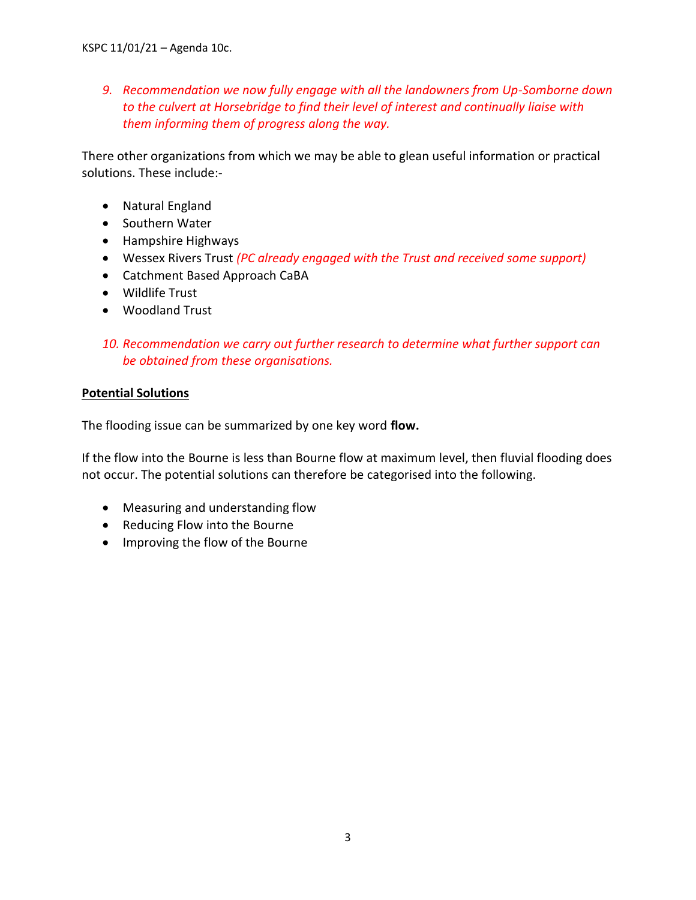*9. Recommendation we now fully engage with all the landowners from Up-Somborne down to the culvert at Horsebridge to find their level of interest and continually liaise with them informing them of progress along the way.*

There other organizations from which we may be able to glean useful information or practical solutions. These include:-

- Natural England
- Southern Water
- Hampshire Highways
- Wessex Rivers Trust *(PC already engaged with the Trust and received some support)*
- Catchment Based Approach CaBA
- Wildlife Trust
- Woodland Trust

## *10. Recommendation we carry out further research to determine what further support can be obtained from these organisations.*

## **Potential Solutions**

The flooding issue can be summarized by one key word **flow.** 

If the flow into the Bourne is less than Bourne flow at maximum level, then fluvial flooding does not occur. The potential solutions can therefore be categorised into the following.

- Measuring and understanding flow
- Reducing Flow into the Bourne
- Improving the flow of the Bourne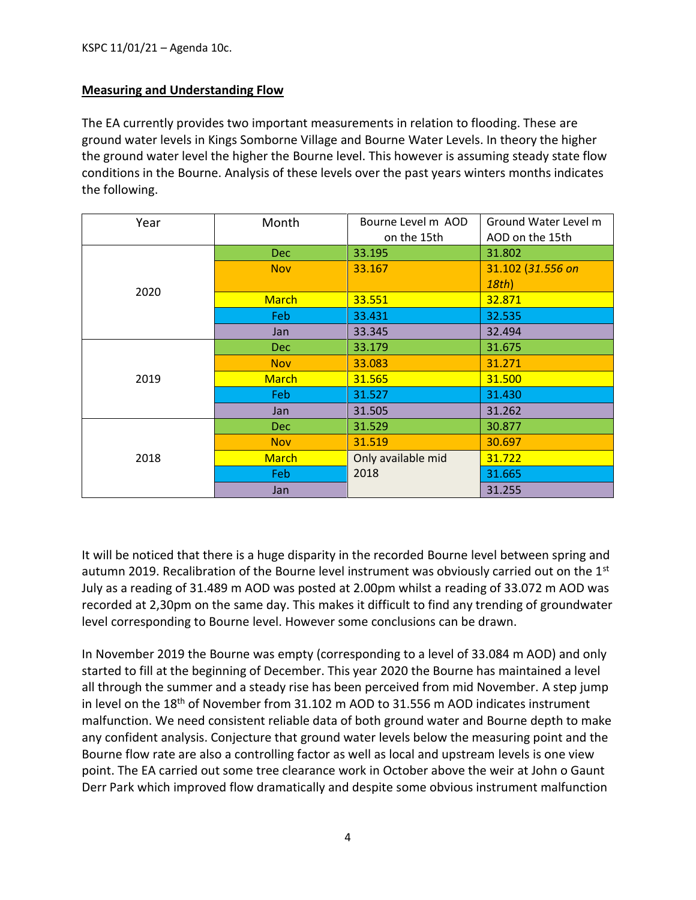## **Measuring and Understanding Flow**

The EA currently provides two important measurements in relation to flooding. These are ground water levels in Kings Somborne Village and Bourne Water Levels. In theory the higher the ground water level the higher the Bourne level. This however is assuming steady state flow conditions in the Bourne. Analysis of these levels over the past years winters months indicates the following.

| Year | Month        | Bourne Level m AOD<br>on the 15th | Ground Water Level m<br>AOD on the 15th |
|------|--------------|-----------------------------------|-----------------------------------------|
| 2020 | Dec          | 33.195                            | 31.802                                  |
|      | <b>Nov</b>   | 33.167                            | 31.102 (31.556 on                       |
|      |              |                                   | 18th                                    |
|      | <b>March</b> | 33.551                            | 32.871                                  |
|      | Feb.         | 33.431                            | 32.535                                  |
|      | Jan          | 33.345                            | 32.494                                  |
| 2019 | Dec.         | 33.179                            | 31.675                                  |
|      | <b>Nov</b>   | 33.083                            | 31.271                                  |
|      | <b>March</b> | 31.565                            | 31.500                                  |
|      | Feb.         | 31.527                            | 31.430                                  |
|      | Jan          | 31.505                            | 31.262                                  |
| 2018 | Dec.         | 31.529                            | 30.877                                  |
|      | <b>Nov</b>   | 31.519                            | 30.697                                  |
|      | <b>March</b> | Only available mid                | 31.722                                  |
|      | Feb.         | 2018                              | 31.665                                  |
|      | Jan          |                                   | 31.255                                  |

It will be noticed that there is a huge disparity in the recorded Bourne level between spring and autumn 2019. Recalibration of the Bourne level instrument was obviously carried out on the  $1<sup>st</sup>$ July as a reading of 31.489 m AOD was posted at 2.00pm whilst a reading of 33.072 m AOD was recorded at 2,30pm on the same day. This makes it difficult to find any trending of groundwater level corresponding to Bourne level. However some conclusions can be drawn.

In November 2019 the Bourne was empty (corresponding to a level of 33.084 m AOD) and only started to fill at the beginning of December. This year 2020 the Bourne has maintained a level all through the summer and a steady rise has been perceived from mid November. A step jump in level on the 18<sup>th</sup> of November from 31.102 m AOD to 31.556 m AOD indicates instrument malfunction. We need consistent reliable data of both ground water and Bourne depth to make any confident analysis. Conjecture that ground water levels below the measuring point and the Bourne flow rate are also a controlling factor as well as local and upstream levels is one view point. The EA carried out some tree clearance work in October above the weir at John o Gaunt Derr Park which improved flow dramatically and despite some obvious instrument malfunction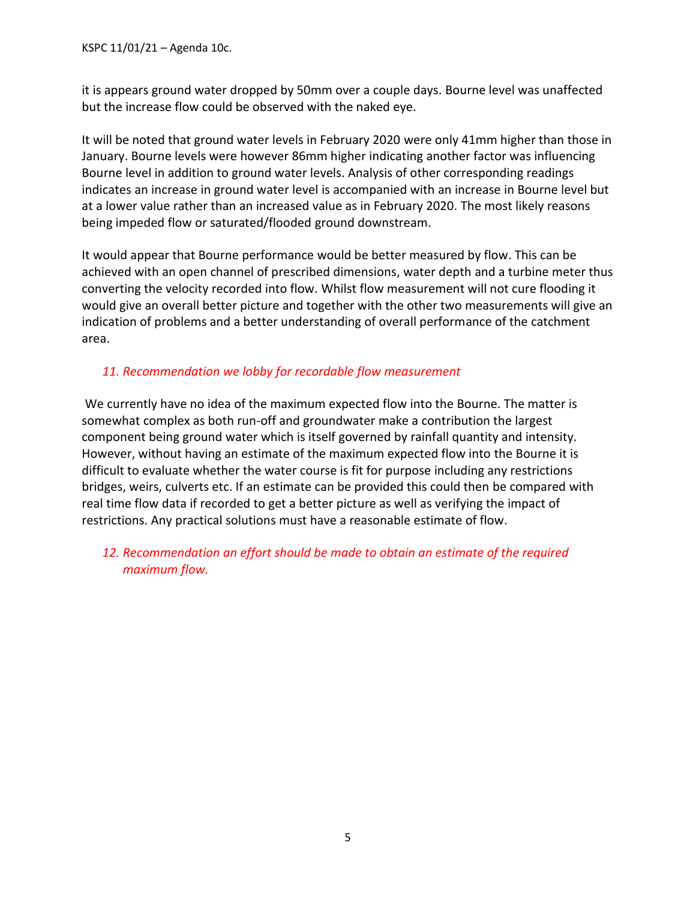KSPC 11/01/21 – Agenda 10c.

it is appears ground water dropped by 50mm over a couple days. Bourne level was unaffected but the increase flow could be observed with the naked eye.

It will be noted that ground water levels in February 2020 were only 41mm higher than those in January. Bourne levels were however 86mm higher indicating another factor was influencing Bourne level in addition to ground water levels. Analysis of other corresponding readings indicates an increase in ground water level is accompanied with an increase in Bourne level but at a lower value rather than an increased value as in February 2020. The most likely reasons being impeded flow or saturated/flooded ground downstream.

It would appear that Bourne performance would be better measured by flow. This can be achieved with an open channel of prescribed dimensions, water depth and a turbine meter thus converting the velocity recorded into flow. Whilst flow measurement will not cure flooding it would give an overall better picture and together with the other two measurements will give an indication of problems and a better understanding of overall performance of the catchment area.

## *11. Recommendation we lobby for recordable flow measurement*

We currently have no idea of the maximum expected flow into the Bourne. The matter is somewhat complex as both run-off and groundwater make a contribution the largest component being ground water which is itself governed by rainfall quantity and intensity. However, without having an estimate of the maximum expected flow into the Bourne it is difficult to evaluate whether the water course is fit for purpose including any restrictions bridges, weirs, culverts etc. If an estimate can be provided this could then be compared with real time flow data if recorded to get a better picture as well as verifying the impact of restrictions. Any practical solutions must have a reasonable estimate of flow.

*12. Recommendation an effort should be made to obtain an estimate of the required maximum flow.*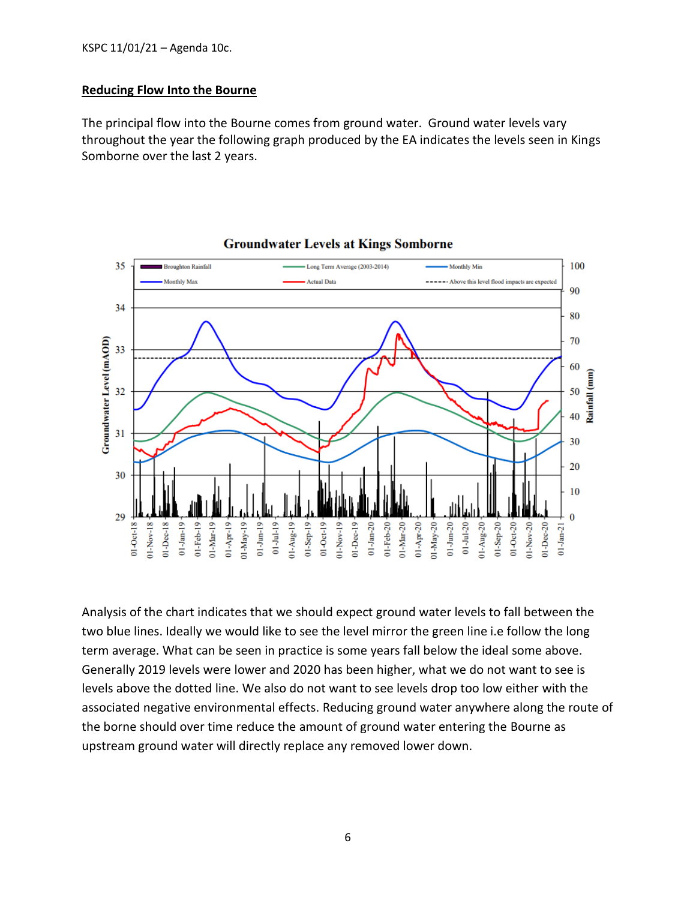### **Reducing Flow Into the Bourne**

The principal flow into the Bourne comes from ground water. Ground water levels vary throughout the year the following graph produced by the EA indicates the levels seen in Kings Somborne over the last 2 years.



**Groundwater Levels at Kings Somborne** 

Analysis of the chart indicates that we should expect ground water levels to fall between the two blue lines. Ideally we would like to see the level mirror the green line i.e follow the long term average. What can be seen in practice is some years fall below the ideal some above. Generally 2019 levels were lower and 2020 has been higher, what we do not want to see is levels above the dotted line. We also do not want to see levels drop too low either with the associated negative environmental effects. Reducing ground water anywhere along the route of the borne should over time reduce the amount of ground water entering the Bourne as upstream ground water will directly replace any removed lower down.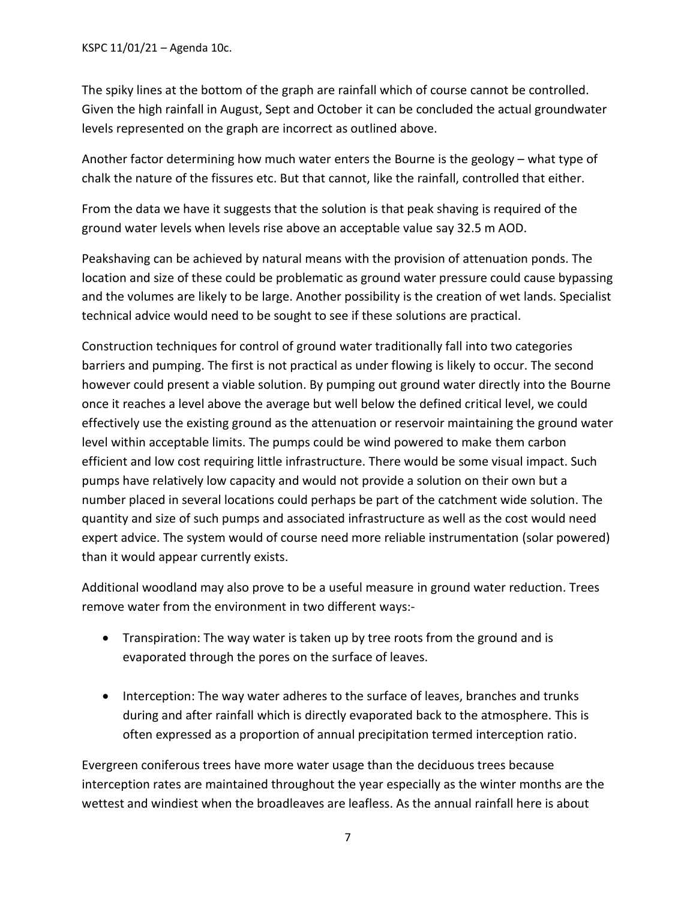KSPC 11/01/21 – Agenda 10c.

The spiky lines at the bottom of the graph are rainfall which of course cannot be controlled. Given the high rainfall in August, Sept and October it can be concluded the actual groundwater levels represented on the graph are incorrect as outlined above.

Another factor determining how much water enters the Bourne is the geology – what type of chalk the nature of the fissures etc. But that cannot, like the rainfall, controlled that either.

From the data we have it suggests that the solution is that peak shaving is required of the ground water levels when levels rise above an acceptable value say 32.5 m AOD.

Peakshaving can be achieved by natural means with the provision of attenuation ponds. The location and size of these could be problematic as ground water pressure could cause bypassing and the volumes are likely to be large. Another possibility is the creation of wet lands. Specialist technical advice would need to be sought to see if these solutions are practical.

Construction techniques for control of ground water traditionally fall into two categories barriers and pumping. The first is not practical as under flowing is likely to occur. The second however could present a viable solution. By pumping out ground water directly into the Bourne once it reaches a level above the average but well below the defined critical level, we could effectively use the existing ground as the attenuation or reservoir maintaining the ground water level within acceptable limits. The pumps could be wind powered to make them carbon efficient and low cost requiring little infrastructure. There would be some visual impact. Such pumps have relatively low capacity and would not provide a solution on their own but a number placed in several locations could perhaps be part of the catchment wide solution. The quantity and size of such pumps and associated infrastructure as well as the cost would need expert advice. The system would of course need more reliable instrumentation (solar powered) than it would appear currently exists.

Additional woodland may also prove to be a useful measure in ground water reduction. Trees remove water from the environment in two different ways:-

- Transpiration: The way water is taken up by tree roots from the ground and is evaporated through the pores on the surface of leaves.
- Interception: The way water adheres to the surface of leaves, branches and trunks during and after rainfall which is directly evaporated back to the atmosphere. This is often expressed as a proportion of annual precipitation termed interception ratio.

Evergreen coniferous trees have more water usage than the deciduous trees because interception rates are maintained throughout the year especially as the winter months are the wettest and windiest when the broadleaves are leafless. As the annual rainfall here is about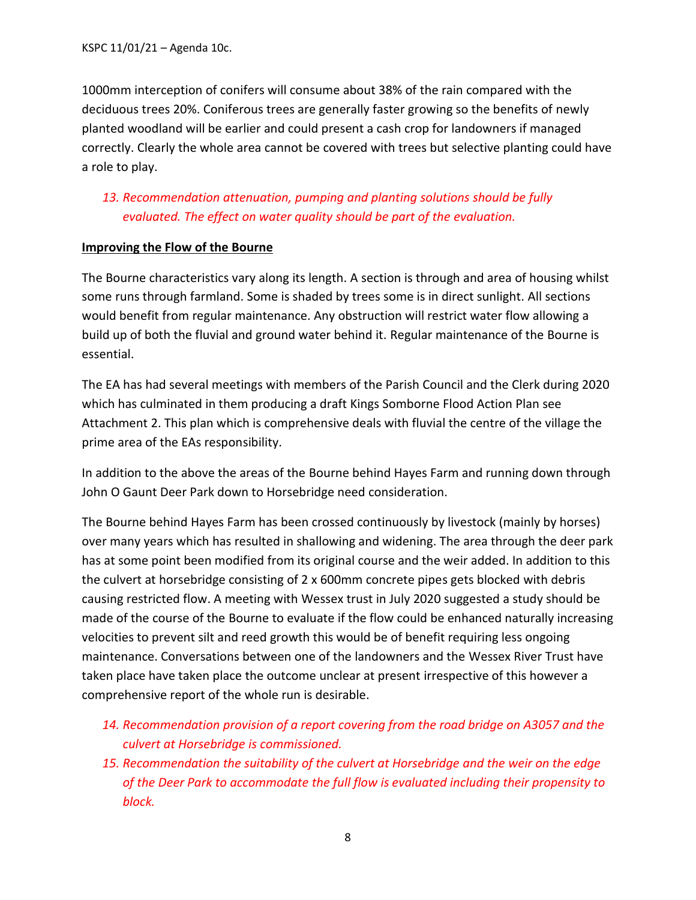1000mm interception of conifers will consume about 38% of the rain compared with the deciduous trees 20%. Coniferous trees are generally faster growing so the benefits of newly planted woodland will be earlier and could present a cash crop for landowners if managed correctly. Clearly the whole area cannot be covered with trees but selective planting could have a role to play.

## *13. Recommendation attenuation, pumping and planting solutions should be fully evaluated. The effect on water quality should be part of the evaluation.*

## **Improving the Flow of the Bourne**

The Bourne characteristics vary along its length. A section is through and area of housing whilst some runs through farmland. Some is shaded by trees some is in direct sunlight. All sections would benefit from regular maintenance. Any obstruction will restrict water flow allowing a build up of both the fluvial and ground water behind it. Regular maintenance of the Bourne is essential.

The EA has had several meetings with members of the Parish Council and the Clerk during 2020 which has culminated in them producing a draft Kings Somborne Flood Action Plan see Attachment 2. This plan which is comprehensive deals with fluvial the centre of the village the prime area of the EAs responsibility.

In addition to the above the areas of the Bourne behind Hayes Farm and running down through John O Gaunt Deer Park down to Horsebridge need consideration.

The Bourne behind Hayes Farm has been crossed continuously by livestock (mainly by horses) over many years which has resulted in shallowing and widening. The area through the deer park has at some point been modified from its original course and the weir added. In addition to this the culvert at horsebridge consisting of 2 x 600mm concrete pipes gets blocked with debris causing restricted flow. A meeting with Wessex trust in July 2020 suggested a study should be made of the course of the Bourne to evaluate if the flow could be enhanced naturally increasing velocities to prevent silt and reed growth this would be of benefit requiring less ongoing maintenance. Conversations between one of the landowners and the Wessex River Trust have taken place have taken place the outcome unclear at present irrespective of this however a comprehensive report of the whole run is desirable.

- *14. Recommendation provision of a report covering from the road bridge on A3057 and the culvert at Horsebridge is commissioned.*
- *15. Recommendation the suitability of the culvert at Horsebridge and the weir on the edge of the Deer Park to accommodate the full flow is evaluated including their propensity to block.*